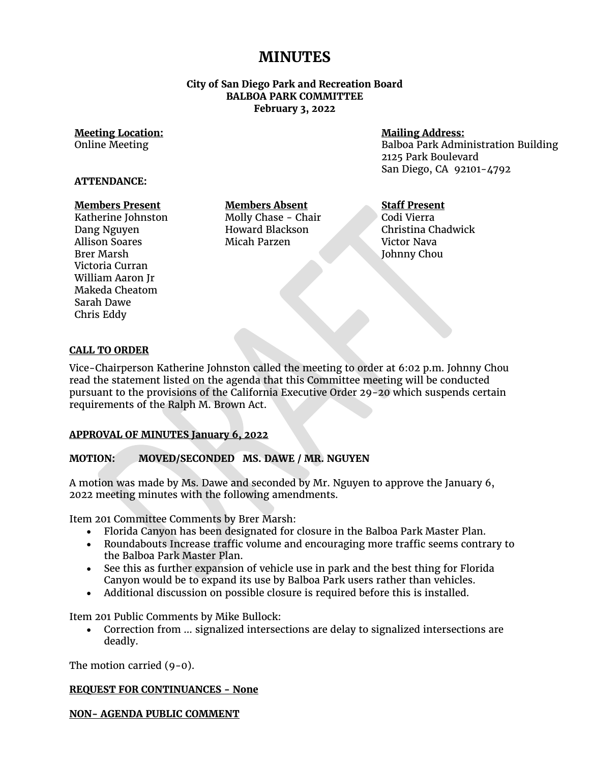# **MINUTES**

## **City of San Diego Park and Recreation Board BALBOA PARK COMMITTEE February 3, 2022**

#### **Meeting Location:** Online Meeting

# **Mailing Address:**

Balboa Park Administration Building 2125 Park Boulevard San Diego, CA 92101-4792

### **ATTENDANCE:**

### **Members Present**

Katherine Johnston Dang Nguyen Allison Soares Brer Marsh Victoria Curran William Aaron Jr Makeda Cheatom Sarah Dawe Chris Eddy

**Members Absent** Molly Chase - Chair Howard Blackson Micah Parzen

## **Staff Present**

Codi Vierra Christina Chadwick Victor Nava Johnny Chou

### **CALL TO ORDER**

Vice-Chairperson Katherine Johnston called the meeting to order at 6:02 p.m. Johnny Chou read the statement listed on the agenda that this Committee meeting will be conducted pursuant to the provisions of the California Executive Order 29-20 which suspends certain requirements of the Ralph M. Brown Act.

### **APPROVAL OF MINUTES January 6, 2022**

# **MOTION: MOVED/SECONDED MS. DAWE / MR. NGUYEN**

A motion was made by Ms. Dawe and seconded by Mr. Nguyen to approve the January 6, 2022 meeting minutes with the following amendments.

Item 201 Committee Comments by Brer Marsh:

- Florida Canyon has been designated for closure in the Balboa Park Master Plan.
- Roundabouts Increase traffic volume and encouraging more traffic seems contrary to the Balboa Park Master Plan.
- See this as further expansion of vehicle use in park and the best thing for Florida Canyon would be to expand its use by Balboa Park users rather than vehicles.
- Additional discussion on possible closure is required before this is installed.

Item 201 Public Comments by Mike Bullock:

• Correction from … signalized intersections are delay to signalized intersections are deadly.

The motion carried (9-0).

### **REQUEST FOR CONTINUANCES - None**

**NON- AGENDA PUBLIC COMMENT**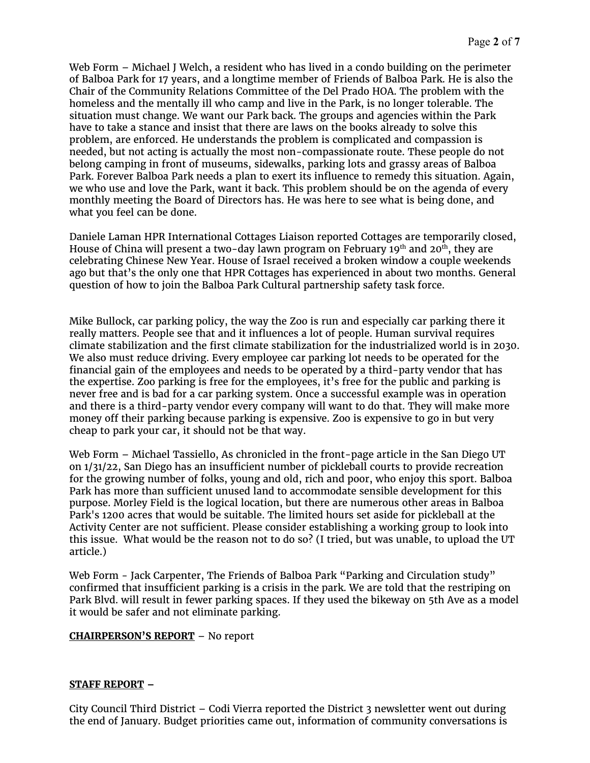Web Form – Michael J Welch, a resident who has lived in a condo building on the perimeter of Balboa Park for 17 years, and a longtime member of Friends of Balboa Park. He is also the Chair of the Community Relations Committee of the Del Prado HOA. The problem with the homeless and the mentally ill who camp and live in the Park, is no longer tolerable. The situation must change. We want our Park back. The groups and agencies within the Park have to take a stance and insist that there are laws on the books already to solve this problem, are enforced. He understands the problem is complicated and compassion is needed, but not acting is actually the most non-compassionate route. These people do not belong camping in front of museums, sidewalks, parking lots and grassy areas of Balboa Park. Forever Balboa Park needs a plan to exert its influence to remedy this situation. Again, we who use and love the Park, want it back. This problem should be on the agenda of every monthly meeting the Board of Directors has. He was here to see what is being done, and what you feel can be done.

Daniele Laman HPR International Cottages Liaison reported Cottages are temporarily closed, House of China will present a two-day lawn program on February  $19<sup>th</sup>$  and  $20<sup>th</sup>$ , they are celebrating Chinese New Year. House of Israel received a broken window a couple weekends ago but that's the only one that HPR Cottages has experienced in about two months. General question of how to join the Balboa Park Cultural partnership safety task force.

Mike Bullock, car parking policy, the way the Zoo is run and especially car parking there it really matters. People see that and it influences a lot of people. Human survival requires climate stabilization and the first climate stabilization for the industrialized world is in 2030. We also must reduce driving. Every employee car parking lot needs to be operated for the financial gain of the employees and needs to be operated by a third-party vendor that has the expertise. Zoo parking is free for the employees, it's free for the public and parking is never free and is bad for a car parking system. Once a successful example was in operation and there is a third-party vendor every company will want to do that. They will make more money off their parking because parking is expensive. Zoo is expensive to go in but very cheap to park your car, it should not be that way.

Web Form – Michael Tassiello, As chronicled in the front-page article in the San Diego UT on 1/31/22, San Diego has an insufficient number of pickleball courts to provide recreation for the growing number of folks, young and old, rich and poor, who enjoy this sport. Balboa Park has more than sufficient unused land to accommodate sensible development for this purpose. Morley Field is the logical location, but there are numerous other areas in Balboa Park's 1200 acres that would be suitable. The limited hours set aside for pickleball at the Activity Center are not sufficient. Please consider establishing a working group to look into this issue. What would be the reason not to do so? (I tried, but was unable, to upload the UT article.)

Web Form - Jack Carpenter, The Friends of Balboa Park "Parking and Circulation study" confirmed that insufficient parking is a crisis in the park. We are told that the restriping on Park Blvd. will result in fewer parking spaces. If they used the bikeway on 5th Ave as a model it would be safer and not eliminate parking.

# **CHAIRPERSON'S REPORT** – No report

# **STAFF REPORT –**

City Council Third District – Codi Vierra reported the District 3 newsletter went out during the end of January. Budget priorities came out, information of community conversations is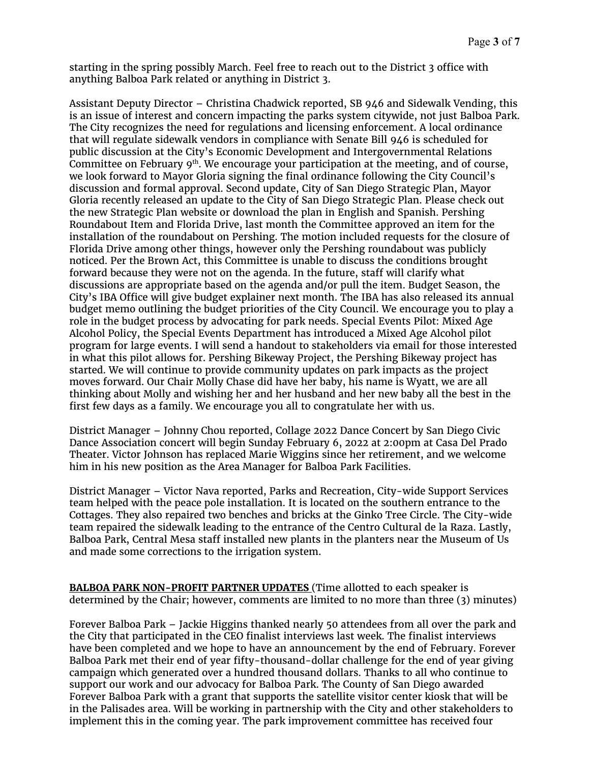starting in the spring possibly March. Feel free to reach out to the District 3 office with anything Balboa Park related or anything in District 3.

Assistant Deputy Director – Christina Chadwick reported, SB 946 and Sidewalk Vending, this is an issue of interest and concern impacting the parks system citywide, not just Balboa Park. The City recognizes the need for regulations and licensing enforcement. A local ordinance that will regulate sidewalk vendors in compliance with Senate Bill 946 is scheduled for public discussion at the City's Economic Development and Intergovernmental Relations Committee on February  $9<sup>th</sup>$ . We encourage your participation at the meeting, and of course, we look forward to Mayor Gloria signing the final ordinance following the City Council's discussion and formal approval. Second update, City of San Diego Strategic Plan, Mayor Gloria recently released an update to the City of San Diego Strategic Plan. Please check out the new Strategic Plan website or download the plan in English and Spanish. Pershing Roundabout Item and Florida Drive, last month the Committee approved an item for the installation of the roundabout on Pershing. The motion included requests for the closure of Florida Drive among other things, however only the Pershing roundabout was publicly noticed. Per the Brown Act, this Committee is unable to discuss the conditions brought forward because they were not on the agenda. In the future, staff will clarify what discussions are appropriate based on the agenda and/or pull the item. Budget Season, the City's IBA Office will give budget explainer next month. The IBA has also released its annual budget memo outlining the budget priorities of the City Council. We encourage you to play a role in the budget process by advocating for park needs. Special Events Pilot: Mixed Age Alcohol Policy, the Special Events Department has introduced a Mixed Age Alcohol pilot program for large events. I will send a handout to stakeholders via email for those interested in what this pilot allows for. Pershing Bikeway Project, the Pershing Bikeway project has started. We will continue to provide community updates on park impacts as the project moves forward. Our Chair Molly Chase did have her baby, his name is Wyatt, we are all thinking about Molly and wishing her and her husband and her new baby all the best in the first few days as a family. We encourage you all to congratulate her with us.

District Manager – Johnny Chou reported, Collage 2022 Dance Concert by San Diego Civic Dance Association concert will begin Sunday February 6, 2022 at 2:00pm at Casa Del Prado Theater. Victor Johnson has replaced Marie Wiggins since her retirement, and we welcome him in his new position as the Area Manager for Balboa Park Facilities.

District Manager – Victor Nava reported, Parks and Recreation, City-wide Support Services team helped with the peace pole installation. It is located on the southern entrance to the Cottages. They also repaired two benches and bricks at the Ginko Tree Circle. The City-wide team repaired the sidewalk leading to the entrance of the Centro Cultural de la Raza. Lastly, Balboa Park, Central Mesa staff installed new plants in the planters near the Museum of Us and made some corrections to the irrigation system.

**BALBOA PARK NON-PROFIT PARTNER UPDATES** (Time allotted to each speaker is determined by the Chair; however, comments are limited to no more than three (3) minutes)

Forever Balboa Park – Jackie Higgins thanked nearly 50 attendees from all over the park and the City that participated in the CEO finalist interviews last week. The finalist interviews have been completed and we hope to have an announcement by the end of February. Forever Balboa Park met their end of year fifty-thousand-dollar challenge for the end of year giving campaign which generated over a hundred thousand dollars. Thanks to all who continue to support our work and our advocacy for Balboa Park. The County of San Diego awarded Forever Balboa Park with a grant that supports the satellite visitor center kiosk that will be in the Palisades area. Will be working in partnership with the City and other stakeholders to implement this in the coming year. The park improvement committee has received four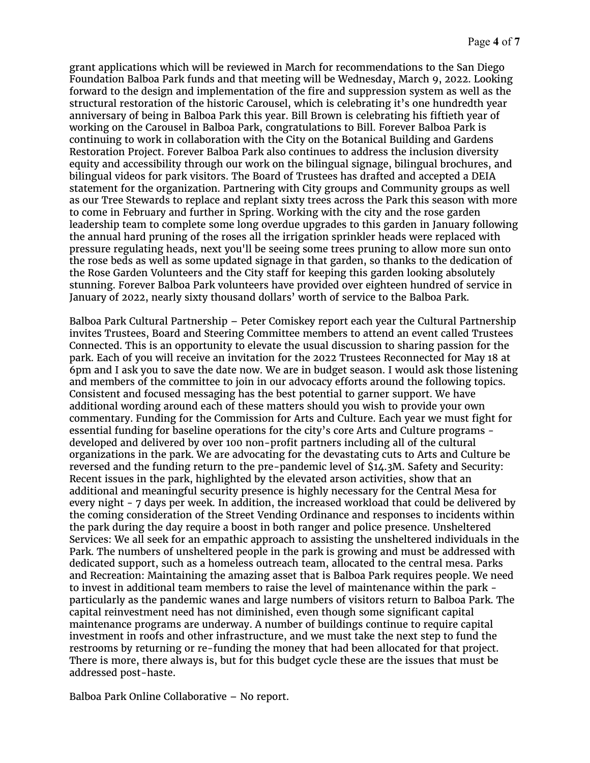grant applications which will be reviewed in March for recommendations to the San Diego Foundation Balboa Park funds and that meeting will be Wednesday, March 9, 2022. Looking forward to the design and implementation of the fire and suppression system as well as the structural restoration of the historic Carousel, which is celebrating it's one hundredth year anniversary of being in Balboa Park this year. Bill Brown is celebrating his fiftieth year of working on the Carousel in Balboa Park, congratulations to Bill. Forever Balboa Park is continuing to work in collaboration with the City on the Botanical Building and Gardens Restoration Project. Forever Balboa Park also continues to address the inclusion diversity equity and accessibility through our work on the bilingual signage, bilingual brochures, and bilingual videos for park visitors. The Board of Trustees has drafted and accepted a DEIA statement for the organization. Partnering with City groups and Community groups as well as our Tree Stewards to replace and replant sixty trees across the Park this season with more to come in February and further in Spring. Working with the city and the rose garden leadership team to complete some long overdue upgrades to this garden in January following the annual hard pruning of the roses all the irrigation sprinkler heads were replaced with pressure regulating heads, next you'll be seeing some trees pruning to allow more sun onto the rose beds as well as some updated signage in that garden, so thanks to the dedication of the Rose Garden Volunteers and the City staff for keeping this garden looking absolutely stunning. Forever Balboa Park volunteers have provided over eighteen hundred of service in January of 2022, nearly sixty thousand dollars' worth of service to the Balboa Park.

Balboa Park Cultural Partnership – Peter Comiskey report each year the Cultural Partnership invites Trustees, Board and Steering Committee members to attend an event called Trustees Connected. This is an opportunity to elevate the usual discussion to sharing passion for the park. Each of you will receive an invitation for the 2022 Trustees Reconnected for May 18 at 6pm and I ask you to save the date now. We are in budget season. I would ask those listening and members of the committee to join in our advocacy efforts around the following topics. Consistent and focused messaging has the best potential to garner support. We have additional wording around each of these matters should you wish to provide your own commentary. Funding for the Commission for Arts and Culture. Each year we must fight for essential funding for baseline operations for the city's core Arts and Culture programs developed and delivered by over 100 non-profit partners including all of the cultural organizations in the park. We are advocating for the devastating cuts to Arts and Culture be reversed and the funding return to the pre-pandemic level of \$14.3M. Safety and Security: Recent issues in the park, highlighted by the elevated arson activities, show that an additional and meaningful security presence is highly necessary for the Central Mesa for every night - 7 days per week. In addition, the increased workload that could be delivered by the coming consideration of the Street Vending Ordinance and responses to incidents within the park during the day require a boost in both ranger and police presence. Unsheltered Services: We all seek for an empathic approach to assisting the unsheltered individuals in the Park. The numbers of unsheltered people in the park is growing and must be addressed with dedicated support, such as a homeless outreach team, allocated to the central mesa. Parks and Recreation: Maintaining the amazing asset that is Balboa Park requires people. We need to invest in additional team members to raise the level of maintenance within the park particularly as the pandemic wanes and large numbers of visitors return to Balboa Park. The capital reinvestment need has not diminished, even though some significant capital maintenance programs are underway. A number of buildings continue to require capital investment in roofs and other infrastructure, and we must take the next step to fund the restrooms by returning or re-funding the money that had been allocated for that project. There is more, there always is, but for this budget cycle these are the issues that must be addressed post-haste.

Balboa Park Online Collaborative – No report.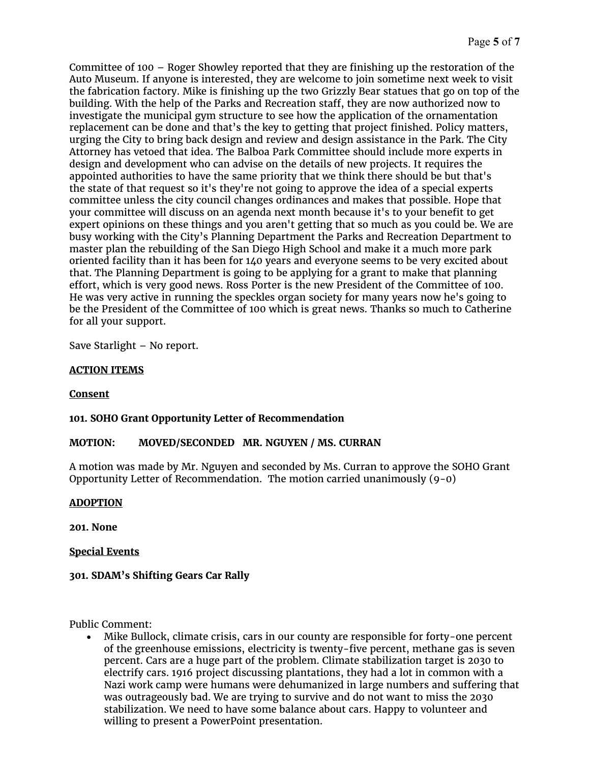Committee of 100 – Roger Showley reported that they are finishing up the restoration of the Auto Museum. If anyone is interested, they are welcome to join sometime next week to visit the fabrication factory. Mike is finishing up the two Grizzly Bear statues that go on top of the building. With the help of the Parks and Recreation staff, they are now authorized now to investigate the municipal gym structure to see how the application of the ornamentation replacement can be done and that's the key to getting that project finished. Policy matters, urging the City to bring back design and review and design assistance in the Park. The City Attorney has vetoed that idea. The Balboa Park Committee should include more experts in design and development who can advise on the details of new projects. It requires the appointed authorities to have the same priority that we think there should be but that's the state of that request so it's they're not going to approve the idea of a special experts committee unless the city council changes ordinances and makes that possible. Hope that your committee will discuss on an agenda next month because it's to your benefit to get expert opinions on these things and you aren't getting that so much as you could be. We are busy working with the City's Planning Department the Parks and Recreation Department to master plan the rebuilding of the San Diego High School and make it a much more park oriented facility than it has been for 140 years and everyone seems to be very excited about that. The Planning Department is going to be applying for a grant to make that planning effort, which is very good news. Ross Porter is the new President of the Committee of 100. He was very active in running the speckles organ society for many years now he's going to be the President of the Committee of 100 which is great news. Thanks so much to Catherine for all your support.

Save Starlight – No report.

# **ACTION ITEMS**

# **Consent**

# **101. SOHO Grant Opportunity Letter of Recommendation**

# **MOTION: MOVED/SECONDED MR. NGUYEN / MS. CURRAN**

A motion was made by Mr. Nguyen and seconded by Ms. Curran to approve the SOHO Grant Opportunity Letter of Recommendation. The motion carried unanimously  $(9-0)$ 

# **ADOPTION**

**201. None**

**Special Events**

# **301. SDAM's Shifting Gears Car Rally**

Public Comment:

• Mike Bullock, climate crisis, cars in our county are responsible for forty-one percent of the greenhouse emissions, electricity is twenty-five percent, methane gas is seven percent. Cars are a huge part of the problem. Climate stabilization target is 2030 to electrify cars. 1916 project discussing plantations, they had a lot in common with a Nazi work camp were humans were dehumanized in large numbers and suffering that was outrageously bad. We are trying to survive and do not want to miss the 2030 stabilization. We need to have some balance about cars. Happy to volunteer and willing to present a PowerPoint presentation.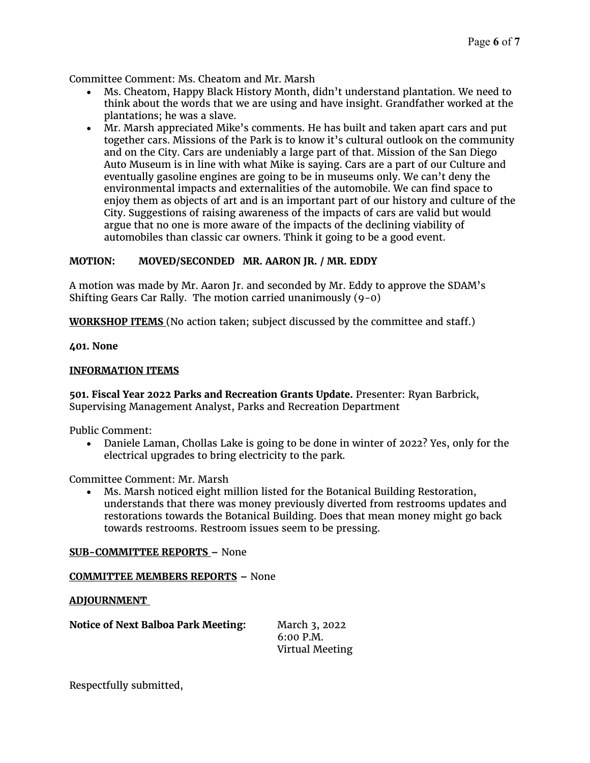Committee Comment: Ms. Cheatom and Mr. Marsh

- Ms. Cheatom, Happy Black History Month, didn't understand plantation. We need to think about the words that we are using and have insight. Grandfather worked at the plantations; he was a slave.
- Mr. Marsh appreciated Mike's comments. He has built and taken apart cars and put together cars. Missions of the Park is to know it's cultural outlook on the community and on the City. Cars are undeniably a large part of that. Mission of the San Diego Auto Museum is in line with what Mike is saying. Cars are a part of our Culture and eventually gasoline engines are going to be in museums only. We can't deny the environmental impacts and externalities of the automobile. We can find space to enjoy them as objects of art and is an important part of our history and culture of the City. Suggestions of raising awareness of the impacts of cars are valid but would argue that no one is more aware of the impacts of the declining viability of automobiles than classic car owners. Think it going to be a good event.

## **MOTION: MOVED/SECONDED MR. AARON JR. / MR. EDDY**

A motion was made by Mr. Aaron Jr. and seconded by Mr. Eddy to approve the SDAM's Shifting Gears Car Rally. The motion carried unanimously (9-0)

**WORKSHOP ITEMS** (No action taken; subject discussed by the committee and staff.)

### **401. None**

### **INFORMATION ITEMS**

**501. Fiscal Year 2022 Parks and Recreation Grants Update.** Presenter: Ryan Barbrick, Supervising Management Analyst, Parks and Recreation Department

Public Comment:

• Daniele Laman, Chollas Lake is going to be done in winter of 2022? Yes, only for the electrical upgrades to bring electricity to the park.

Committee Comment: Mr. Marsh

• Ms. Marsh noticed eight million listed for the Botanical Building Restoration, understands that there was money previously diverted from restrooms updates and restorations towards the Botanical Building. Does that mean money might go back towards restrooms. Restroom issues seem to be pressing.

### **SUB-COMMITTEE REPORTS –** None

### **COMMITTEE MEMBERS REPORTS –** None

### **ADJOURNMENT**

**Notice of Next Balboa Park Meeting:** March 3, 2022

6:00 P.M. Virtual Meeting

Respectfully submitted,